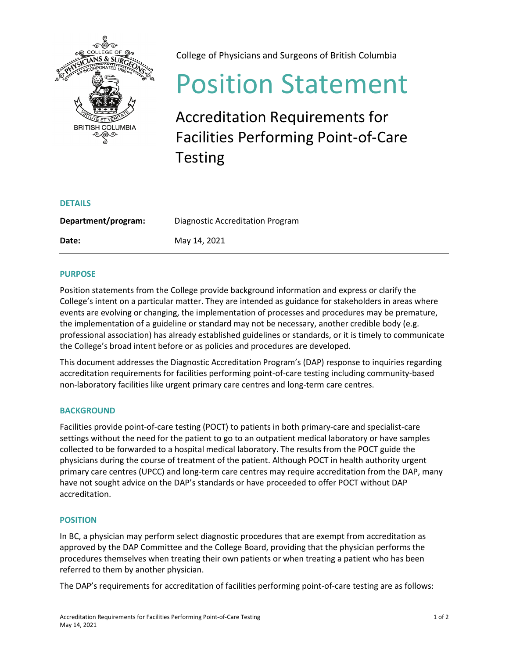

College of Physicians and Surgeons of British Columbia

# Position Statement

Accreditation Requirements for Facilities Performing Point-of-Care Testing

| <b>DETAILS</b>      |                                  |
|---------------------|----------------------------------|
| Department/program: | Diagnostic Accreditation Program |
| Date:               | May 14, 2021                     |

# **PURPOSE**

Position statements from the College provide background information and express or clarify the College's intent on a particular matter. They are intended as guidance for stakeholders in areas where events are evolving or changing, the implementation of processes and procedures may be premature, the implementation of a guideline or standard may not be necessary, another credible body (e.g. professional association) has already established guidelines or standards, or it is timely to communicate the College's broad intent before or as policies and procedures are developed.

This document addresses the Diagnostic Accreditation Program's (DAP) response to inquiries regarding accreditation requirements for facilities performing point-of-care testing including community-based non-laboratory facilities like urgent primary care centres and long-term care centres.

# **BACKGROUND**

Facilities provide point-of-care testing (POCT) to patients in both primary-care and specialist-care settings without the need for the patient to go to an outpatient medical laboratory or have samples collected to be forwarded to a hospital medical laboratory. The results from the POCT guide the physicians during the course of treatment of the patient. Although POCT in health authority urgent primary care centres (UPCC) and long-term care centres may require accreditation from the DAP, many have not sought advice on the DAP's standards or have proceeded to offer POCT without DAP accreditation.

## **POSITION**

In BC, a physician may perform select diagnostic procedures that are exempt from accreditation as approved by the DAP Committee and the College Board, providing that the physician performs the procedures themselves when treating their own patients or when treating a patient who has been referred to them by another physician.

The DAP's requirements for accreditation of facilities performing point-of-care testing are as follows: